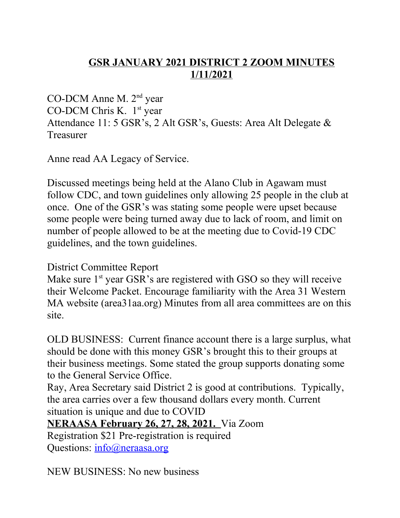## **GSR JANUARY 2021 DISTRICT 2 ZOOM MINUTES 1/11/2021**

CO-DCM Anne M. 2<sup>nd</sup> year CO-DCM Chris K. 1<sup>st</sup> year Attendance 11: 5 GSR's, 2 Alt GSR's, Guests: Area Alt Delegate & Treasurer

Anne read AA Legacy of Service.

Discussed meetings being held at the Alano Club in Agawam must follow CDC, and town guidelines only allowing 25 people in the club at once. One of the GSR's was stating some people were upset because some people were being turned away due to lack of room, and limit on number of people allowed to be at the meeting due to Covid-19 CDC guidelines, and the town guidelines.

## District Committee Report

Make sure  $1<sup>st</sup>$  year GSR's are registered with GSO so they will receive their Welcome Packet. Encourage familiarity with the Area 31 Western MA website (area31aa.org) Minutes from all area committees are on this site.

OLD BUSINESS: Current finance account there is a large surplus, what should be done with this money GSR's brought this to their groups at their business meetings. Some stated the group supports donating some to the General Service Office.

Ray, Area Secretary said District 2 is good at contributions. Typically, the area carries over a few thousand dollars every month. Current situation is unique and due to COVID

**NERAASA February 26, 27, 28, 2021.** Via Zoom

Registration \$21 Pre-registration is required Questions: info@neraasa.org

NEW BUSINESS: No new business